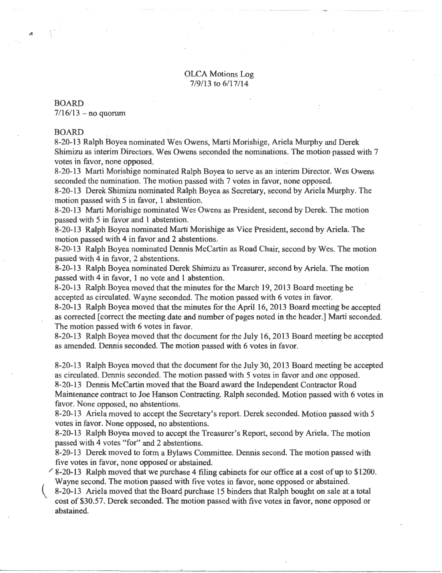# OLCA Motions Log 7/9/13 to 6/17/14

# BOARD

 $\mathbf{r}$ 

 $7/16/13$  – no quorum

## BOARD

8-20-13 Ralph Boyea nominated Wes Owens, Marti Morishige, Ariela Murphy and Derek Shimizu as interim Directors. Wes Owens seconded the nominations. The motion passed with 7 votes in favor, none opposed.

8-20-13 Marti Morishige nominated Ralph Boyea to serve as an interim Director. Wes Owens seconded the nomination. The motion passed with 7 votes in favor, none opposed.

8-20-13 Derek Shimizu nominated Ralph Boyea as Secretary, second by Ariela Murphy. The motion passed with 5 in favor, 1 abstention.

8-20-13 Marti Morishige nominated Wes Owens as President, second by Derek. The motion passed with 5 in favor and 1 abstention.

8-20-13 Ralph Boyea nominated Marti Morishige as Vice President, second by Ariela. The motion passed with 4 in favor and 2 abstentions.

8-20-13 Ralph Boyea nominated Dennis McCartin as Road Chair, second by Wes. The motion passed with 4 in favor, 2 abstentions.

8-20-13 Ralph Boyea nominated Derek Shimizu as Treasurer, second by Ariela. The motion passed with 4 in favor, 1 no vote and 1 abstention.

8-20-13 Ralph Boyea moved that the minutes for the March 19, 2013 Board meeting be accepted as circulated. Wayne seconded. The motion passed with 6 votes in favor.

8-20-13 Ralph Boyea moved that the minutes for the April 16, 2013 Board meeting be accepted as corrected [correct the meeting date and number of pages noted in the header.] Marti seconded. The motion passed with 6 votes in favor.

8-20-13 Ralph Boyea moved that the document for the July 16, 2013 Board meeting be accepted as amended. Dennis seconded. The motion passed with 6 votes in favor.

8-20-13 Ralph Boyea moved that the document for the July 30, 2013 Board meeting be accepted as circulated. Dennis seconded. The motion passed with 5 votes in favor and one opposed. 8-20-13 Dennis McCartin moved that the Board award the Independent Contractor Road Maintenance contract to Joe Hanson Contracting. Ralph seconded. Motion passed with 6 votes in

favor. None opposed, no abstentions. 8-20-13 Ariela moved to accept the Secretary's report. Derek seconded. Motion passed with 5

votes in favor. None opposed, no abstentions. 8-20-13 Ralph Boyea moved to accept the Treasurer's Report, second by Ariela. The motion passed with 4 votes "for" and 2 abstentions.

8-20-13 Derek moved to form a Bylaws Committee. Dennis second. The motion passed with five votes in favor, none opposed or abstained.

*/* 8-20-13 Ralph moved that we purchase 4 filing cabinets for our office at a cost of up to \$1200. Wayne second. The motion passed with five votes in favor, none opposed or abstained.

\ 8-20-13 Ariela moved that the Board purchase 15 binders that Ralph bought on sale at a total cost of \$30.57. Derek seconded. The motion passed with five votes in favor, none opposed or abstained.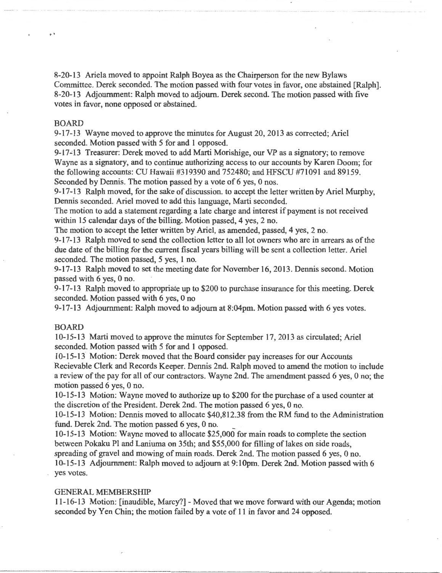8-20-13 Ariela moved to appoint Ralph Boyea as the Chairperson for the new Bylaws Committee. Derek seconded. The motion passed with four votes in favor, one abstained [Ralph]. 8-20-13 Adjournment: Ralph moved to adjourn. Derek second. The motion passed with five votes in favor, none opposed or abstained.

# BOARD

..

9-17-13 Wayne moved to approve the minutes for August 20, 2013 as corrected; Ariel seconded. Motion passed with 5 for and 1 opposed.

9-17-13 Treasurer: Derek moved to add Marti Morishige, our VP as a signatory; to remove Wayne as a signatory, and to continue authorizing access to our accounts by Karen Doom; for the following accounts: CU Hawaii  $#319390$  and  $752480$ ; and HFSCU  $#71091$  and 89159. Seconded by Dennis. The motion passed by a vote of 6 yes, 0 nos.

9-17-13 Ralph moved, for the sake of discussion. to accept the letter written by Ariel Murphy, Dennis seconded. Ariel moved to add this language, Marti seconded.

The motion to add a statement regarding a late charge and interest if payment is not received within 15 calendar days of the billing. Motion passed, 4 yes, 2 no.

The motion to accept the letter written by Ariel, as amended, passed, 4 yes, 2 no.

9-17-13 Ralph moved to send the collection letter to all lot owners who are in arrears as of the due date of the billing for the current fiscal years billing will be sent a collection letter. Ariel seconded. The motion passed, 5 yes, 1 no.

9-17-13 Ralph moved to set the meeting date for November 16, 2013. Dennis second. Motion passed with 6 yes, 0 no.

9-17-13 Ralph moved to appropriate up to \$200 to purchase insurance for this meeting. Derek seconded. Motion passed with 6 yes, 0 no

9-17-13 Adjournment: Ralph moved to adjourn at 8 :04pm. Motion passed with 6 yes votes.

### BOARD

10-15-13 Marti moved to approve the minutes for September 17, 2013 as circulated; Ariel seconded. Motion passed with 5 for and 1 opposed.

10-15-13 Motion: Derek moved that the Board consider pay increases for our Accounts Recievable Clerk and Records Keeper. Dennis 2nd. Ralph moved to amend the motion to include a review of the pay for all of our contractors. Wayne 2nd. The amendment passed 6 yes, 0 no; the motion passed 6 yes, 0 no.

10-15-13 Motion: Wayne moved to authorize up to \$200 for the purchase of a used counter at the discretion of the President. Derek 2nd. The motion passed 6 yes, 0 no.

10-15-13 Motion: Dennis moved to allocate \$40,812.38 from the RM fund to the Administration fund. Derek 2nd. The motion passed 6 yes, 0 no.

10-15-13 Motion: Wayne moved to allocate \$25,000 for main roads to complete the section between Pokaku Pl and Laniuma on 35th; and \$55,000 for filling of lakes on side roads, spreading of gravel and mowing of main roads. Derek 2nd. The motion passed 6 yes, 0 no. I 0-15-13 Adjournment: Ralph moved to adjourn at 9: lOpm. Derek 2nd. Motion passed with 6 yes votes.

#### GENERAL MEMBERSHIP

11-16-13 Motion: [inaudible, Marcy?] - Moved that we move forward with our Agenda; motion seconded by Yen Chin; the motion failed by a vote of 11 in favor and 24 opposed.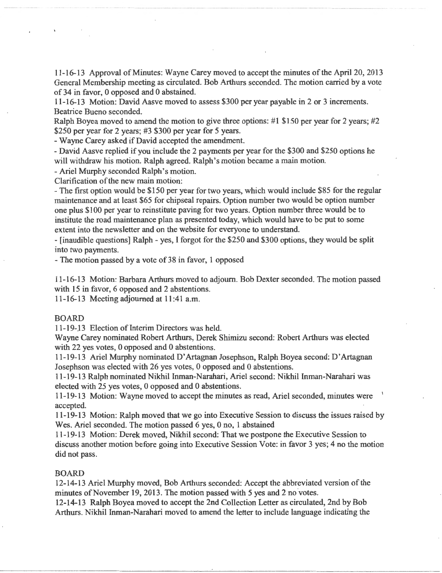11-16-13 Approval of Minutes: Wayne Carey moved to accept the minutes of the April 20, 2013 General Membership meeting as circulated. Bob Arthurs seconded. The motion carried by a vote of 34 in favor, 0 opposed and 0 abstained.

11-16-13 Motion: David Aasve moved to assess \$300 per year payable in 2 or 3 increments. Beatrice Bueno seconded.

Ralph Boyea moved to amend the motion to give three options:  $\#1$  \$150 per year for 2 years;  $\#2$ \$250 per year for 2 years; #3 \$300 per year for 5 years.

- Wayne Carey asked if David accepted the amendment.

- David Aasve replied if you include the 2 payments per year for the \$300 and \$250 options he will withdraw his motion. Ralph agreed. Ralph's motion became a main motion.

- Ariel Murphy seconded Ralph's motion.

Clarification of the new main motion:

- The first option would be \$150 per year for two years, which would include \$85 for the regular maintenance and at least \$65 for chipseal repairs. Option number two would be option number one plus \$100 per year to reinstitute paving for two years. Option number three would be to institute the road maintenance plan as presented today, which would have to be put to some extent into the newsletter and on the website for everyone to understand.

- [inaudible questions] Ralph - yes, I forgot for the \$250 and \$300 options, they would be split into two payments.

- The motion passed by a vote of 38 in favor, 1 opposed

11-16-13 Motion: Barbara Arthurs moved to adjourn. Bob Dexter seconded. The motion passed with 15 in favor, 6 opposed and 2 abstentions.

11-16-13 Meeting adjourned at 11 :41 a.m.

# BOARD

11-19-13 Election of Interim Directors was held.

Wayne Carey nominated Robert Arthurs, Derek Shimizu second: Robert Arthurs was elected with 22 yes votes, 0 opposed and 0 abstentions.

11-19-13 Ariel Murphy nominated D'Artagnan Josephson, Ralph Boyea second: D'Artagnan Josephson was elected with 26 yes votes, 0 opposed and 0 abstentions.

11-19-13 Ralph nominated Nikhil Inman-Narahari, Ariel second: Nikhil Inman-Narahari was elected with 25 yes votes, 0 opposed and 0 abstentions.

11-19-13 Motion: Wayne moved to accept the minutes as read, Ariel seconded, minutes were accepted.

11-19-13 Motion: Ralph moved that we go into Executive Session to discuss the issues raised by Wes. Ariel seconded. The motion passed 6 yes, 0 no, 1 abstained

11-19-13 Motion: Derek moved, Nikhil second: That we postpone the Executive Session to discuss another motion before going into Executive Session Vote: in favor 3 yes; 4 no the motion did not pass.

## BOARD

12-14-13 Ariel Murphy moved, Bob Arthurs seconded: Accept the abbreviated version of the minutes of November 19, 2013. The motion passed with 5 yes and 2 no votes.

12-14-13 Ralph Boyea moved to accept the 2nd Collection Letter as circulated, 2nd by Bob Arthurs. Nikhil Inrnan-Narahari moved to amend the letter to include language indicating the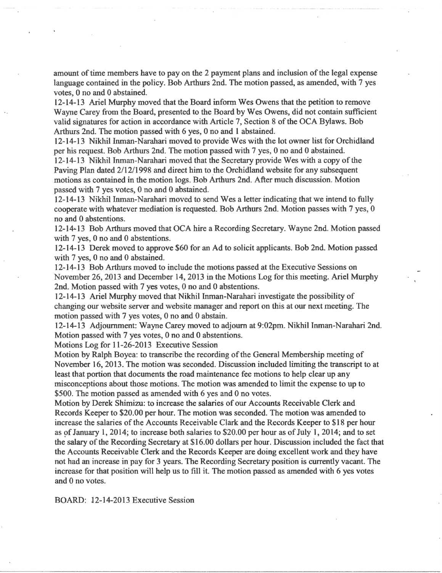amount of time members have to pay on the 2 payment plans and inclusion of the legal expense language contained in the policy. Bob Arthurs 2nd. The motion passed, as amended, with 7 yes votes, 0 no and 0 abstained.

12-14-13 Ariel Murphy moved that the Board inform Wes Owens that the petition to remove Wayne Carey from the Board, presented to the Board by Wes Owens, did not contain sufficient valid signatures for action in accordance with Article 7, Section 8 of the OCA Bylaws. Bob Arthurs 2nd. The motion passed with 6 yes, 0 no and 1 abstained.

12-14-13 Nikhil Inman-Narahari moved to provide Wes with the lot owner list for Orchidland per his request. Bob Arthurs 2nd. The motion passed with 7 yes, 0 no and 0 abstained.

12-14-13 Nikhil Inman-Narahari moved that the Secretary provide Wes with a copy of the Paving Plan dated 2/12/1998 and direct him to the Orchidland website for any subsequent motions as contained in the motion logs. Bob Arthurs 2nd. After much discussion. Motion passed with 7 yes votes, 0 no and 0 abstained.

12-14-13 Nikhil Inman-Narahari moved to send Wes a letter indicating that we intend to fully cooperate with whatever mediation is requested. Bob Arthurs 2nd. Motion passes with 7 yes, 0 no and 0 abstentions.

12-14·13 Bob Arthurs moved that OCA hire a Recording Secretary. Wayne 2nd. Motion passed with 7 yes, 0 no and 0 abstentions.

12-14-13 Derek moved to approve \$60 for an Ad to solicit applicants. Bob 2nd. Motion passed with 7 yes, 0 no and 0 abstained.

12-14-13 Bob Arthurs moved to include the motions passed at the Executive Sessions on November 26, 2013 and December 14, 2013 in the Motions Log for this meeting. Ariel Murphy 2nd. Motion passed with 7 yes votes, 0 no and 0 abstentions.

12-14-13 Ariel Murphy moved that Nikhil Inman-Narahari investigate the possibility of changing our website server and website manager and report on this at our next meeting. The motion passed with 7 yes votes, 0 no and 0 abstain.

12-14-13 Adjournment: Wayne Carey moved to adjourn at 9:02pm. Nikhil Inman-Narahari 2nd. Motion passed with 7 yes votes, 0 no and 0 abstentions.

Motions Log for 11-26-2013 Executive Session

Motion by Ralph Boyea: to transcribe the recording of the General Membership meeting of November 16, 2013. The motion was seconded. Discussion included limiting the transcript to at least that portion that documents the road maintenance fee motions to help clear up any misconceptions about those motions. The motion was amended to limit the expense to up to \$500. The motion passed as amended with 6 yes and 0 no votes.

Motion by Derek Shimizu: to increase the salaries of our Accounts Receivable Clerk and Records Keeper to \$20.00 per hour. The motion was seconded. The motion was amended to increase the salaries of the Accounts Receivable Clark and the Records Keeper to \$18 per hour as of January 1, 2014; to increase both salaries to \$20.00 per hour as of July 1, 2014; and to set the salary of the Recording Secretary at \$16.00 dollars per hour. Discussion included the fact that the Accounts Receivable Clerk and the Records Keeper are doing excellent work and they have not had an increase in pay for 3 years. The Recording Secretary position is currently vacant. The increase for that position will help us to fill it. The motion passed as amended with 6 yes votes and 0 no votes.

BOARD: 12-14-2013 Executive Session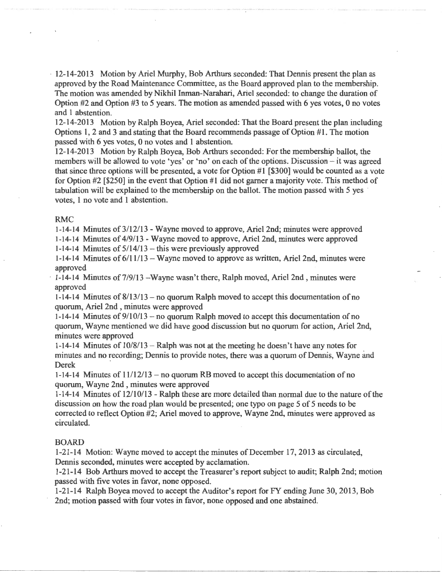12-14-2013 Motion by Ariel Murphy, Bob Arthurs seconded: That Dennis present the plan as approved by the Road Maintenance Committee, as the Board approved plan to the membership. The motion was amended by Nikhil Inman-Narahari, Ariel seconded: to change the duration of Option #2 and Option #3 to 5 years. The motion as amended passed with 6 yes votes, 0 no votes and 1 abstention.

12-14-2013 Motion by Ralph Boyea, Ariel seconded: That the Board present the plan including Options 1, 2 and 3 and stating that the Board recommends passage of Option #1. The motion passed with 6 yes votes, 0 no votes and 1 abstention.

12-14-2013 Motion by Ralph Boyea, Bob Arthurs seconded: For the membership ballot, the members will be allowed to vote 'yes' or 'no' on each of the options. Discussion - it was agreed that since three options will be presented, a vote for Option #1 (\$300] would be counted as a vote for Option #2 [\$250] in the event that Option #1 did not gamer a majority vote. This method of tabulation will be explained to the membership on the ballot. The motion passed with 5 yes votes, 1 no vote and 1 abstention.

## RMC

1-14-14 Minutes of 3/12/13 - Wayne moved to approve, Ariel 2nd; minutes were approved

1 -14-14 Minutes of 419113 - Wayne moved to approve, Ariel 2nd, minutes were approved

1-14-14 Minutes of  $5/14/13$  – this were previously approved

 $1-14-14$  Minutes of  $6/11/13$  – Wayne moved to approve as written, Ariel 2nd, minutes were approved

1-14-14 Minutes of7/9/13 -Wayne wasn't there, Ralph moved, Ariel 2nd, minutes were approved

1-14-14 Minutes of 8/13/13 - no quorum Ralph moved to accept this documentation of no quorum, Ariel 2nd , minutes were approved

1-14-14 Minutes of  $9/10/13$  – no quorum Ralph moved to accept this documentation of no quorum, Wayne mentioned we did have good discussion but no quorum for action, Ariel 2nd, minutes were approved

1-14-14 Minutes of 10/8/13 - Ralph was not at the meeting he doesn't have any notes for minutes and no recording; Dennis to provide notes, there was a quorum of Dennis, Wayne and Derek

 $1-14-14$  Minutes of  $11/12/13$  – no quorum RB moved to accept this documentation of no quorum, Wayne 2nd, minutes were approved

1-14-14 Minutes of 12/10/13 - Ralph these are more detailed than normal due to the nature of the discussion on how the road plan would be presented; one typo on page 5 of 5 needs to be corrected to reflect Option #2; Ariel moved to approve, Wayne 2nd, minutes were approved as circulated.

# BOARD

1-21-14 Motion: Wayne moved to accept the minutes of December 17, 2013 as circulated, Dennis seconded, minutes were accepted by acclamation.

1-21-14 Bob Arthurs moved to accept the Treasurer's report subject to audit; Ralph 2nd; motion passed with five votes in favor, none opposed.

1-21-14 Ralph Boyea moved to accept the Auditor's report for FY ending June 30, 2013, Bob 2nd; motion passed with four votes in favor, none opposed and one abstained.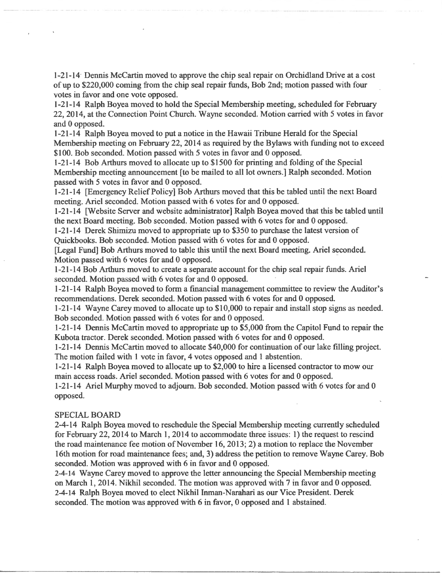1-21-14 Dennis McCartin moved to approve the chip seal repair on Orchidland Drive at a cost of up to \$220,000 coming from the chip seal repair funds, Bob 2nd; motion passed with four votes in favor and one vote opposed.

1-21-14 Ralph Boyea moved to hold the Special Membership meeting, scheduled for February 22, 2014, at the Connection Point Church. Wayne seconded. Motion carried with 5 votes in favor and 0 opposed.

1-21-14 Ralph Boyea moved to put a notice in the Hawaii Tribune Herald for the Special Membership meeting on February 22, 2014 as required by the Bylaws with funding not to exceed \$100. Bob seconded. Motion passed with 5 votes in favor and 0 opposed.

1-21-14 Bob Arthurs moved to allocate up to \$1500 for printing and folding of the Special Membership meeting announcement [to be mailed to all lot owners.] Ralph seconded. Motion passed with 5 votes in favor and 0 opposed.

1-21-14 [Emergency Relief Policy] Bob Arthurs moved that this be tabled until the next Board meeting. Ariel seconded. Motion passed with 6 votes for and 0 opposed.

1-21-14 [Website Server and website administrator] Ralph Boyea moved that this be tabled until the next Board meeting. Bob seconded. Motion passed with 6 votes for and 0 opposed.

1-21-14 Derek Shimizu moved to appropriate up to \$350 to purchase the latest version of Quickbooks. Bob seconded. Motion passed with 6 votes for and 0 opposed.

[Legal Fund] Bob Arthurs moved to table this until the next Board meeting. Ariel seconded. Motion passed with 6 votes for and 0 opposed.

1-21-14 Bob Arthurs moved to create a separate account for the chip seal repair funds. Ariel seconded. Motion passed with 6 votes for and 0 opposed.

1-21-14 Ralph Boyea moved to form a financial management committee to review the Auditor's recommendations. Derek seconded. Motion passed with 6 votes for and 0 opposed.

1-21-14 Wayne Carey moved to allocate up to \$10,000 to repair and install stop signs as needed. Bob seconded. Motion passed with 6 votes for and 0 opposed.

1-21-14 Dennis McCartin moved to appropriate up to \$5,000 from the Capitol Fund to repair the Kubota tractor. Derek seconded. Motion passed with 6 votes for and 0 opposed.

1-21-14 Dennis McCartin moved to allocate \$40,000 for continuation of our lake filling project. The motion failed with 1 vote in favor, 4 votes opposed and 1 abstention.

1-21-14 Ralph Boyea moved to allocate up to \$2,000 to hire a licensed contractor to mow our main access roads. Ariel seconded. Motion passed with 6 votes for and 0 opposed.

1-21-14 Ariel Murphy moved to adjourn. Bob seconded. Motion passed with 6 votes for and 0 opposed.

## SPECIAL BOARD

2-4-14 Ralph Boyea moved to reschedule the Special Membership meeting currently scheduled for February 22, 2014 to March 1, 2014 to accommodate three issues: l) the request to rescind the road maintenance fee motion of November 16, 2013; 2) a motion to replace the November 16th motion for road maintenance fees; and, 3) address the petition to remove Wayne Carey. Bob seconded. Motion was approved with 6 in favor and 0 opposed.

2-4-14 Wayne Carey moved to approve the letter announcing the Special Membership meeting on March 1, 2014. Nikhil seconded. The motion was approved with 7 in favor and 0 opposed. 2-4-14 Ralph Boyea moved to elect Nikhil Inman-Narahari as our Vice President. Derek seconded. The motion was approved with 6 in favor, 0 opposed and 1 abstained.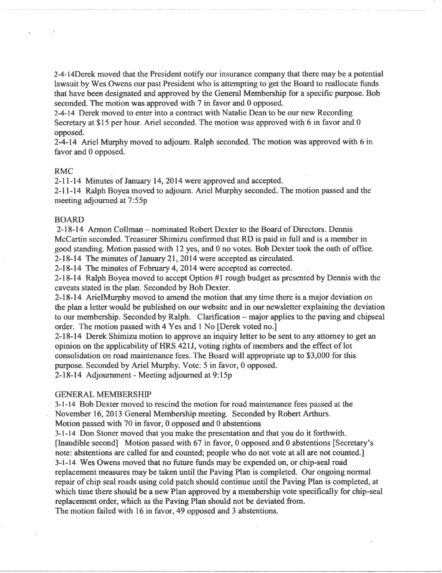2-4-14Derek moved that the President notify our insurance company that there may be a potential lawsuit by Wes Owens our past President who is attempting to get the Board to reallocate funds that have been designated and approved by the General Membership for a specific purpose. Bob seconded. The motion was approved with 7 in favor and 0 opposed.

2-4-14 Derek moved to enter into a contract with Natalie Dean to be our new Recording Secretary at \$15 per hour. Ariel seconded. The motion was approved with 6 in favor and 0 opposed.

2-4-14 Ariel Murphy moved to adjourn. Ralph seconded. The motion was approved with 6 in favor and 0 opposed.

### RMC

2-11-14 Minutes of January 14, 2014 were approved and accepted.

2-11-14 Ralph Boyea moved to adjourn. Ariel Murphy seconded. The motion passed and the meeting adjourned at 7:55p

# BOARD

2-18-14 Armon Collman- nominated Robert Dexter to the Board of Directors. Dennis McCartin seconded. Treasurer Shimizu confirmed that RD is paid in full and is a member in good standing. Motion passed with 12 yes, and 0 no votes. Bob Dexter took the oath of office. 2-18-14 The minutes of January 21, 2014 were accepted as circulated. -

2-18-14 The minutes of February 4, 2014 were accepted as corrected.

2-18-14 Ralph Boyea moved to accept Option #1 rough budget as presented by Dennis with the caveats stated in the plan. Seconded by Bob Dexter.

2-18-14 ArielMurphy moved to amend the motion that any time there is a major deviation on the plan a letter would be published on our website and in our newsletter explaining the deviation to our membership. Seconded by Ralph. Clarification – major applies to the paving and chipseal order. The motion passed with 4 Yes and 1 No [Derek voted no.]

2-18-14 Derek Shimizu motion to approve an inquiry letter to be sent to any attorney to get an opinion on the applicability of HRS  $\overline{421J}$ , voting rights of members and the effect of lot consolidation on road maintenance fees. The Board will appropriate up to \$3,000 for this purpose. Seconded by Ariel Murphy. Vote: 5 in favor, 0 opposed.

2-18-14 Adjournment - Meeting adjourned at 9: 15p

# GENERAL MEMBERSHIP

3-1-14 Bob Dexter moved to rescind the motion for road maintenance fees passed at the November 16, 2013 General Membership meeting. Seconded by Robert Arthurs. Motion passed with 70 in favor, 0 opposed and 0 abstentions

3-1-14 Don Stoner moved that you make the presentation and that you do it forthwith. [Inaudible second] Motion passed with 67 in favor, 0 opposed and 0 abstentions [Secretary's note: abstentions are called for and counted; people who do not vote at all are not counted.] 3-1-14 Wes Owens moved that no future funds may be expended on, or chip-seal road replacement measures may be taken until the Paving Plan is completed. Our ongoing normal repair of chip seal roads using cold patch should continue until the Paving Plan is completed, at which time there should be a new Plan approved by a membership vote specifically for chip-seal replacement order, which as the Paving Plan should not be deviated from. The motion failed with 16 in favor, 49 opposed and 3 abstentions.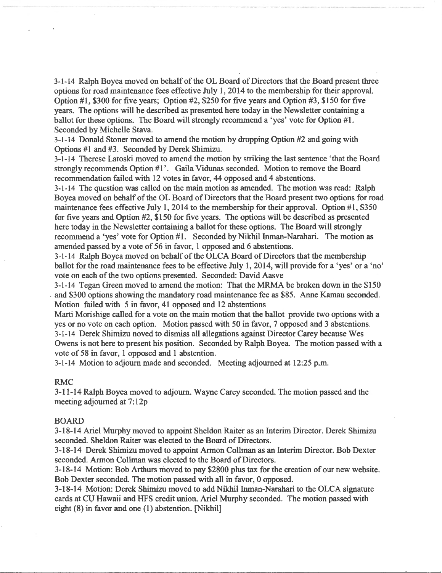3-1-14 Ralph Boyea moved on behalf of the OL Board of Directors that the Board present three options for road maintenance fees effective July 1, 2014 to the membership for their approval. Option #1, \$300 for five years; Option #2, \$250 for five years and Option #3, \$150 for five years. The options will be described as presented here today in the Newsletter containing a ballot for these options. The Board will strongly recommend a 'yes' vote for Option #1. Seconded by Michelle Stava.

3-1-14 Donald Stoner moved to amend the motion by dropping Option #2 and going with Options #1 and #3. Seconded by Derek Shimizu.

3-1-14 Therese Latoski moved to amend the motion by striking the last sentence 'that the Board strongly recommends Option #1'. Gaila Vidunas seconded. Motion to remove the Board recommendation failed with 12 votes in favor, 44 opposed and 4 abstentions.

3-1-14 The question was called on the main motion as amended. The motion was read: Ralph Boyea moved on behalf of the OL Board of Directors that the Board present two options for road maintenance fees effective July 1, 2014 to the membership for their approval. Option #1, \$350 for five years and Option #2, \$150 for five years. The options will be described as presented here today in the Newsletter containing a ballot for these options. The Board will strongly recommend a 'yes' vote for Option #1. Seconded by Nikhil Inman-Narahari. The motion as amended passed by a vote of 56 in favor, l opposed and 6 abstentions.

3-1-14 Ralph Boyea moved on behalf of the OLCA Board of Directors that the membership ballot for the road maintenance fees to be effective July 1, 2014, will provide for a 'yes' or a 'no' vote on each of the two options presented. Seconded: David Aasve

3-1-14 Tegan Green moved to amend the motion: That the MRMA be broken down in the \$150 and \$300 options showing the mandatory road maintenance fee as \$85. Anne Kamau seconded. Motion failed with 5 in favor, 41 opposed and 12 abstentions

Marti Morishige called for a vote on the main motion that the ballot provide two options with a yes or no vote on each option. Motion passed with 50 in favor, 7 opposed and 3 abstentions. 3-1-14 Derek Shimizu noved to dismiss all allegations against Director Carey because Wes Owens is not here to present his position. Seconded by Ralph Boyea. The motion passed with a vote of 58 in favor, 1 opposed and 1 abstention.

3-1-14 Motion to adjourn made and seconded. Meeting adjourned at 12:25 p.m.

# RMC

3-11-14 Ralph Boyea moved to adjourn. Wayne Carey seconded. The motion passed and the meeting adjourned at 7: 12p

# BOARD

3-18-14 Ariel Murphy moved to appoint Sheldon Raiter as an Interim Director. Derek Shimizu seconded. Sheldon Raiter was elected to the Board of Directors.

3-18-14 Derek Shimizu moved to appoint Armon Collman as an Interim Director. Bob Dexter seconded. Armon Collman was elected to the Board of Directors.

3-18-14 Motion: Bob Arthurs moved to pay \$2800 plus tax for the creation of our new website. Bob Dexter seconded. The motion passed with all in favor, 0 opposed.

3-18-14 Motion: Derek Shimizu moved to add Nikhil Inman-Narahari to the OLCA signature cards at CU Hawaii and HFS credit union. Ariel Murphy seconded. The motion passed with eight (8) in favor and one (1) abstention. [Nikhil]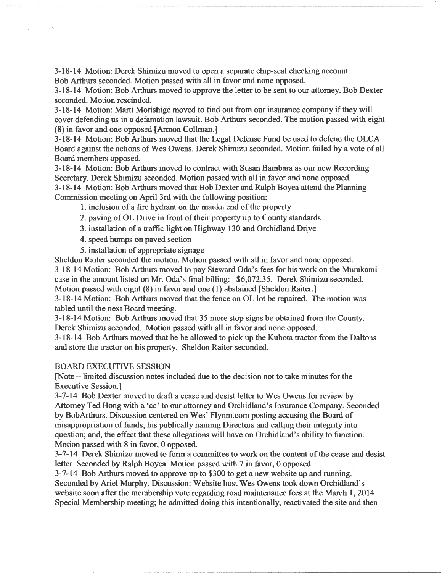3-18-14 Motion: Derek Shimizu moved to open a separate chip-seal checking account. Bob Arthurs seconded. Motion passed with all in favor and none opposed.

3-18-14 Motion: Bob Arthurs moved to approve the letter to be sent to our attorney. Bob Dexter seconded. Motion rescinded.

3-18-14 Motion: Marti Morishige moved to find out from our insurance company if they will cover defending us in a defamation lawsuit. Bob Arthurs seconded. The motion passed with eight (8) in favor and one opposed [Armon Collman.]

3-18-14 Motion: Bob Arthurs moved that the Legal Defense Fund be used to defend the OLCA Board against the actions of Wes Owens. Derek Shimizu seconded. Motion failed by a vote of all Board members opposed.

3-18-14 Motion: Bob Arthurs moved to contract with Susan Bambara as our new Recording Secretary. Derek Shimizu seconded. Motion passed with all in favor and none opposed. 3-18-14 Motion: Bob Arthurs moved that Bob Dexter and Ralph Boyea attend the Planning Commission meeting on April 3rd with the following position:

1. inclusion of a fire hydrant on the mauka end of the property

- 2. paving of OL Drive in front of their property up to County standards
- 3. installation of a traffic light on Highway 130 and Orchidland Drive
- 4. speed humps on paved section
- 5. installation of appropriate signage

Sheldon Raiter seconded the motion. Motion passed with all in favor and none opposed. 3-18-14 Motion: Bob Arthurs moved to pay Steward Oda's fees for his work on the Murakami case in the amount listed on Mr. Oda's final billing: \$6,072.35. Derek Shimizu seconded. Motion passed with eight (8) in favor and one (1) abstained [Sheldon Raiter.]

3-18-14 Motion: Bob Arthurs moved that the fence on OL lot be repaired. The motion was tabled until the next Board meeting.

3-18-14 Motion: Bob Arthurs moved that 35 more stop signs be obtained from the County. Derek Shimizu seconded. Motion passed with all in favor and none opposed.

3-18-14 Bob Arthurs moved that he be allowed to pick up the Kubota tractor from the Daltons and store the tractor on his property. Sheldon Raiter seconded.

# BOARD EXECUTIVE SESSION

[Note - limited discussion notes included due to the decision not to take minutes for the Executive Session.]

3-7-14 Bob Dexter moved to draft a cease and desist letter to Wes Owens for review by Attorney Ted Hong with a 'cc' to our attorney and Orchidland's Insurance Company. Seconded by BobArthurs. Discussion centered on Wes' Flynm.com posting accusing the Board of misappropriation of funds; his publically naming Directors and calling their integrity into question; and, the effect that these allegations will have on Orchidland's ability to function. Motion passed with 8 in favor, 0 opposed.

3-7-14 Derek Shimizu moved to form a committee to work on the content of the cease and desist letter. Seconded by Ralph Boyea. Motion passed with 7 in favor, 0 opposed.

3-7-14 Bob Arthurs moved to approve up to \$300 to get a new website up and running. Seconded by Ariel Murphy. Discussion: Website host Wes Owens took down Orchidland's website soon after the membership vote regarding road maintenance fees at the March 1, 2014 Special Membership meeting; he admitted doing this intentionally, reactivated the site and then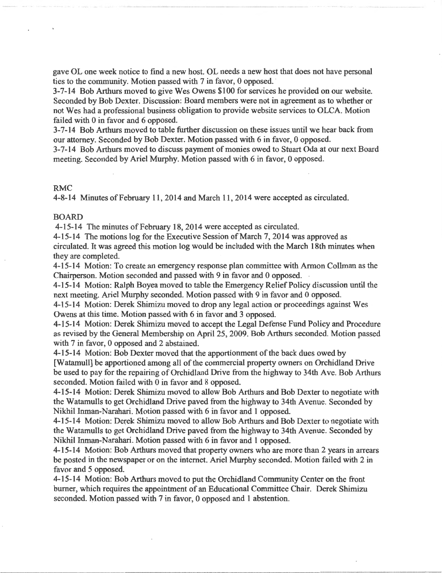gave OL one week notice to find a new host. OL needs a new host that does not have personal ties to the community. Motion passed with 7 in favor, 0 opposed.

3-7-14 Bob Arthurs moved to give Wes Owens \$100 for services he provided on our website. Seconded by Bob Dexter. Discussion: Board members were not in agreement as to whether or not Wes had a professional business obligation to provide website services to OLCA. Motion failed with 0 in favor and 6 opposed.

3-7-14 Bob Arthurs moved to table further discussion on these issues until we hear back from our attorney. Seconded by Bob Dexter. Motion passed with 6 in favor, 0 opposed.

3-7-14 Bob Arthurs moved to discuss payment of monies owed to Stuart Oda at our next Board meeting. Seconded by Ariel Murphy. Motion passed with 6 in favor, 0 opposed.

#### RMC

4-8-14 Minutes of February 11 , 2014 and March 11, 2014 were accepted as circulated.

# BOARD

4-15-14 The minutes of February 18, 2014 were accepted as circulated.

4-15-14 The motions log for the Executive Session of March 7, 2014 was approved as

circulated. It was agreed this motion log would be included with the March 18th minutes when they are completed.

4-15-14 Motion: To create an emergency response plan committee with Armon Collman as the Chairperson. Motion seconded and passed with 9 in favor and 0 opposed.

4-15-14 Motion: Ralph Boyea moved to table the Emergency Relief Policy discussion until the next meeting. Ariel Murphy seconded. Motion passed with 9 in favor and 0 opposed.

4-15-14 Motion: Derek Shimizu moved to drop any legal action or proceedings against Wes Owens at this time. Motion passed with 6 in favor and 3 opposed.

4-15-14 Motion: Derek Shimizu moved to accept the Legal Defense Fund Policy and Procedure as revised by the General Membership on April 25, 2009. Bob Arthurs seconded. Motion passed with 7 in favor, 0 opposed and 2 abstained.

4-15-14 Motion: Bob Dexter moved that the apportionment of the back dues owed by [Watamull] be apportioned among all of the commercial property owners on Orchidland Drive be used to pay for the repairing of Orchidland Drive from the highway to 34th Ave. Bob Arthurs seconded. Motion failed with 0 in favor and 8 opposed.

4-15-14 Motion: Derek Shimizu moved to allow Bob Arthurs and Bob Dexter to negotiate with the Watamulls to get Orchidland Drive paved from the highway to 34th Avenue. Seconded by Nikhil Inman-Narahari. Motion passed with 6 in favor and 1 opposed.

4-15-14 Motion: Derek Shimizu moved to allow Bob Arthurs and Bob Dexter to negotiate with the Watamulls to get Orchidland Drive paved from the highway to 34th Avenue. Seconded by Nikhil Inman-Narahari. Motion passed with 6 in favor and 1 opposed.

4-15-14 Motion: Bob Arthurs moved that property owners who are more than 2 years in arrears be posted in the newspaper or on the internet. Ariel Murphy seconded. Motion failed with 2 in favor and 5 opposed.

4-15-14 Motion: Bob Arthurs moved to put the Orchidland Community Center on the front burner, which requires the appointment of an Educational Committee Chair. Derek Shimizu seconded. Motion passed with 7 in favor, 0 opposed and 1 abstention.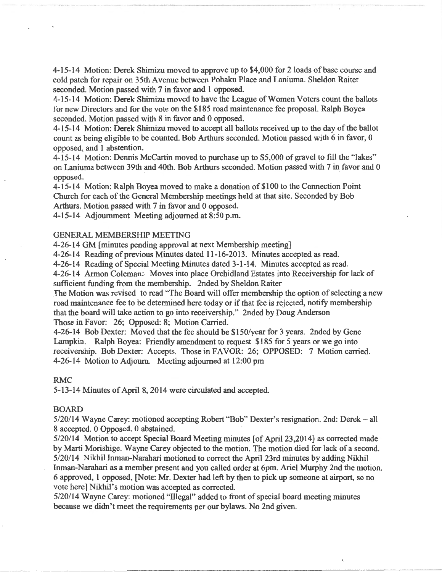4-15-14 Motion: Derek Shimizu moved to approve up to \$4,000 for 2 loads of base course and cold patch for repair on 35th Avenue between Pohaku Place and Laniuma. Sheldon Raiter seconded. Motion passed with 7 in favor and 1 opposed.

4-15-14 Motion: Derek Shimizu moved to have the League of Women Voters count the ballots for new Directors and for the vote on the \$185 road maintenance fee proposal. Ralph Boyea seconded. Motion passed with 8 in favor and 0 opposed.

4-15-14 Motion: Derek Shimizu moved to accept all ballots received up to the day of the ballot count as being eligible to be counted. Bob Arthurs seconded. Motion passed with 6 in favor, 0 opposed, and 1 abstention.

4-15-14 Motion: Dennis McCartin moved to purchase up to \$5,000 of gravel to fill the "lakes" on Laniuma between 39th and 40th. Bob Arthurs seconded. Motion passed with 7 in favor and 0 opposed.

4-15-14 Motion: Ralph Boyea moved to make a donation of \$100 to the Connection Point Church for each of the General Membership meetings held at that site. Seconded by Bob Arthurs. Motion passed with 7 in favor and 0 opposed.

4-15-14 Adjournment Meeting adjourned at 8:50 p.m.

# GENERAL MEMBERSHIP MEETING

4-26-14 GM [minutes pending approval at next Membership meeting]

4-26-14 Reading of previous Minutes dated 11-16-2013. Minutes accepted as read.

4-26-14 Reading of Special Meeting Minutes dated 3-1-14. Minutes accepted as read.

4-26-14 Armon Coleman: Moves into place Orchidland Estates into Receivership for lack of sufficient funding from the membership. 2nded by Sheldon Raiter

The Motion was revised to read "The Board will offer membership the option of selecting a new road maintenance fee to be determined here today or if that fee is rejected, notify membership that the board will take action to go into receivership." 2nded by Doug Anderson Those in Favor: 26; Opposed: 8; Motion Carried.

4-26-14 Bob Dexter: Moved that the fee should be \$150/year for 3 years. 2nded by Gene Lampkin. Ralph Boyea: Friendly amendment to request \$185 for 5 years or we go into receivership. Bob Dexter: Accepts. Those in FAVOR: 26; OPPOSED: 7 Motion carried. 4-26-14 Motion to Adjourn. Meeting adjourned at 12:00 pm

### RMC

5-13-14 Minutes of April 8, 2014 were circulated and accepted.

# BOARD

5/20/ 14 Wayne Carey: motioned accepting Robert "Bob" Dexter's resignation. 2nd: Derek - all 8 accepted. 0 Opposed. 0 abstained.

5/20/14 Motion to accept Special Board Meeting minutes [of April 23,2014] as corrected made by Marti Morishige. Wayne Carey objected to the motion. The motion died for lack of a second. 5/20/14 Nikhil Inman-Narahari motioned to correct the April 23rd minutes by adding Nikhil Inman-Narahari as a member present and you called order at 6pm. Ariel Murphy 2nd the motion. 6 approved, 1 opposed, (Note: Mr. Dexter had left by then to pick up someone at airport, so no

vote here] Nikhil's motion was accepted as corrected.

5/20/14 Wayne Carey: motioned "Illegal" added to front of special board meeting minutes because we didn't meet the requirements per our bylaws. No 2nd given.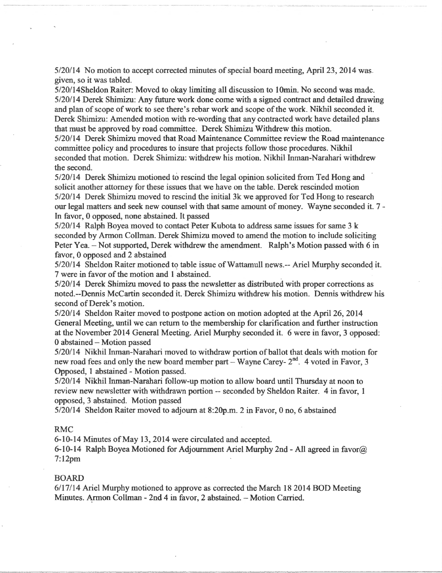5/20/14 No motion to accept corrected minutes of special board meeting, April 23, 2014 was given, so it was tabled.

5/20/14Sheldon Raiter: Moved to okay limiting all discussion to lOmin. No second was made. 5/20/14 Derek Shimizu: Any future work done come with a signed contract and detailed drawing and plan of scope of work to see there's rebar work and scope of the work. Nikhil seconded it. Derek Shimizu: Amended motion with re-wording that any contracted work have detailed plans that must be approved by road committee. Derek Shimizu Withdrew this motion.

5/20/14 Derek Shimizu moved that Road Maintenance Committee review the Road maintenance committee policy and procedures to insure that projects follow those procedures. Nikhil seconded that motion. Derek Shimizu: withdrew his motion. Nikhil Inman-Narahari withdrew the second.

5/20/14 Derek Shimizu motioned to rescind the legal opinion solicited from Ted Hong and solicit another attorney for these issues that we have on the table. Derek rescinded motion 5/20/14 Derek Shimizu moved to rescind the initial 3k we approved for Ted Hong to research our legal matters and seek new counsel with that same amount of money. Wayne seconded it. 7 - In favor, 0 opposed, none abstained. It passed

5/20/14 Ralph Boyea moved to contact Peter Kubota to address same issues for same 3 k seconded by Armon Collman. Derek Shimizu moved to amend the motion to include soliciting Peter Yea. - Not supported, Derek withdrew the amendment. Ralph's Motion passed with 6 in favor, 0 opposed and 2 abstained

5/20/14 Sheldon Raiter motioned to table issue of Wattamull news.-- Ariel Murphy seconded it. 7 were in favor of the motion and 1 abstained.

5/20/14 Derek Shimizu moved to pass the newsletter as distributed with proper corrections as noted.--Dennis Mccartin seconded it. Derek Shimizu withdrew his motion. Dennis withdrew his second of Derek's motion.

5/20/14 Sheldon Raiter moved to postpone action on motion adopted at the April 26, 2014 General Meeting, until we can return to the membership for clarification and further instruction at the November 2014 General Meeting. Ariel Murphy seconded it. 6 were in favor, 3 opposed: 0 abstained – Motion passed

5/20/14 Nikhil Inman-Narahari moved to withdraw portion of ballot that deals with motion for new road fees and only the new board member part  $\overline{-}$  Wayne Carey-  $2^{nd}$ . 4 voted in Favor, 3 Opposed, 1 abstained - Motion passed.

5120114 Nikhil Inman-Narahari follow-up motion to allow board until Thursday at noon to review new newsletter with withdrawn portion -- seconded by Sheldon Raiter. 4 in favor, 1 opposed, 3 abstained. Motion passed

5/20/14 Sheldon Raiter moved to adjourn at 8:20p.m. 2 in Favor, 0 no, 6 abstained

# RMC

6-10-14 Minutes of May 13, 2014 were circulated and accepted.

6-10-14 Ralph Boyea Motioned for Adjournment Ariel Murphy 2nd - All agreed in favor@ 7:12prn

#### BOARD

6/17/14 Ariel Murphy motioned to approve as corrected the March 18 2014 BOD Meeting Minutes. Armon Collman - 2nd 4 in favor, 2 abstained. - Motion Carried.